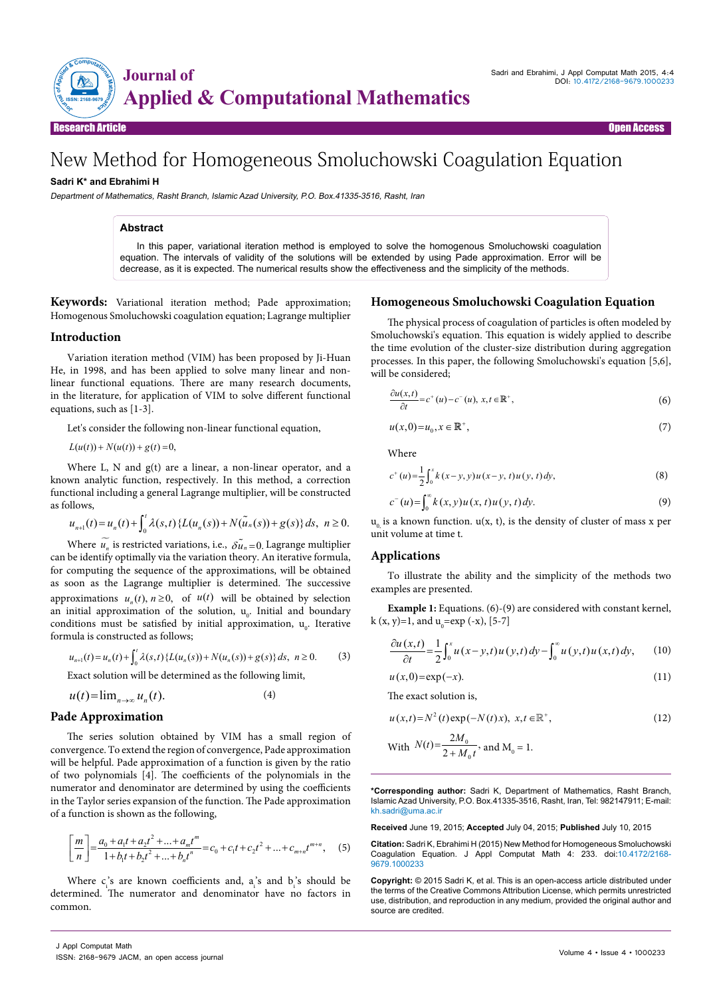

Research Article Open Access

# New Method for Homogeneous Smoluchowski Coagulation Equation

## **Sadri K\* and Ebrahimi H**

Department of Mathematics, Rasht Branch, Islamic Azad University, P.O. Box.41335-3516, Rasht, Iran

## **Abstract**

In this paper, variational iteration method is employed to solve the homogenous Smoluchowski coagulation equation. The intervals of validity of the solutions will be extended by using Pade approximation. Error will be decrease, as it is expected. The numerical results show the effectiveness and the simplicity of the methods.

**Keywords:** Variational iteration method; Pade approximation; Homogenous Smoluchowski coagulation equation; Lagrange multiplier

### **Introduction**

Variation iteration method (VIM) has been proposed by Ji-Huan He, in 1998, and has been applied to solve many linear and nonlinear functional equations. There are many research documents, in the literature, for application of VIM to solve different functional equations, such as  $\overline{1\cdot3}$ .

Let's consider the following non-linear functional equation,

 $L(u(t)) + N(u(t)) + g(t) = 0,$ 

Where L, N and g(t) are a linear, a non-linear operator, and a known analytic function, respectively. In this method, a correction functional including a general Lagrange multiplier, will be constructed as follows,

$$
u_{n+1}(t) = u_n(t) + \int_0^t \lambda(s,t) \left\{ L(u_n(s)) + N(\tilde{u}_n(s)) + g(s) \right\} ds, \ \ n \ge 0.
$$

Where  $\widetilde{u_n}$  is restricted variations, i.e.,  $\widetilde{\delta u_n}$  =0. Lagrange multiplier can be identify optimally via the variation theory. An iterative formula, for computing the sequence of the approximations, will be obtained as soon as the Lagrange multiplier is determined. The successive approximations  $u_n(t)$ ,  $n \ge 0$ , of  $u(t)$  will be obtained by selection an initial approximation of the solution, u<sub>0</sub>. Initial and boundary conditions must be satisfied by initial approximation,  $u_0$ . Iterative formula is constructed as follows;

$$
u_{n+1}(t) = u_n(t) + \int_0^t \lambda(s,t) \left\{ L(u_n(s)) + N(u_n(s)) + g(s) \right\} ds, \ \ n \ge 0. \tag{3}
$$

Exact solution will be determined as the following limit,

$$
u(t) = \lim_{n \to \infty} u_n(t).
$$
 (4)

#### **Pade Approximation**

The series solution obtained by VIM has a small region of convergence. To extend the region of convergence, Pade approximation will be helpful. Pade approximation of a function is given by the ratio of two polynomials [4]. The coefficients of the polynomials in the numerator and denominator are determined by using the coefficients in the Taylor series expansion of the function. The Pade approximation of a function is shown as the following,

$$
\left[\frac{m}{n}\right] = \frac{a_0 + a_1t + a_2t^2 + \dots + a_mt^m}{1 + b_1t + b_2t^2 + \dots + b_nt^n} = c_0 + c_1t + c_2t^2 + \dots + c_{m+n}t^{m+n},\tag{5}
$$

Where  $c_i$ 's are known coefficients and,  $a_i$ 's and  $b_i$ 's should be determined. The numerator and denominator have no factors in common.

### **Homogeneous Smoluchowski Coagulation Equation**

The physical process of coagulation of particles is often modeled by Smoluchowski's equation. This equation is widely applied to describe the time evolution of the cluster-size distribution during aggregation processes. In this paper, the following Smoluchowski's equation [5,6], will be considered;

$$
\frac{\partial u(x,t)}{\partial t} = c^+(u) - c^-(u), \ x, t \in \mathbb{R}^+, \tag{6}
$$

$$
u(x,0) = u_0, x \in \mathbb{R}^+, \tag{7}
$$

Where

$$
c^{+}(u) = \frac{1}{2} \int_{0}^{x} k(x - y, y) u(x - y, t) u(y, t) dy,
$$
\n(8)

$$
c^{-}(u) = \int_{0}^{\infty} k(x, y) u(x, t) u(y, t) dy.
$$
 (9)

 $u_0$  is a known function.  $u(x, t)$ , is the density of cluster of mass x per unit volume at time t.

#### **Applications**

To illustrate the ability and the simplicity of the methods two examples are presented.

**Example 1:** Equations. (6)-(9) are considered with constant kernel, k (x, y)=1, and  $u_0 = exp(-x)$ , [5-7]

$$
\frac{\partial u(x,t)}{\partial t} = \frac{1}{2} \int_0^x u(x-y,t) u(y,t) dy - \int_0^{\infty} u(y,t) u(x,t) dy, \qquad (10)
$$

$$
u(x,0) = \exp(-x). \tag{11}
$$

The exact solution is,

$$
u(x,t) = N^2(t) \exp(-N(t)x), \ x, t \in \mathbb{R}^+, \tag{12}
$$

With 
$$
N(t) = \frac{2M_0}{2 + M_0 t}
$$
, and  $M_0 = 1$ .

**\*Corresponding author:** Sadri K, Department of Mathematics, Rasht Branch, Islamic Azad University, P.O. Box.41335-3516, Rasht, Iran, Tel: 982147911; E-mail: kh.sadri@uma.ac.ir

**Received** June 19, 2015; **Accepted** July 04, 2015; **Published** July 10, 2015

**Citation:** Sadri K, Ebrahimi H (2015) New Method for Homogeneous Smoluchowski Coagulation Equation. J Appl Computat Math 4: 233. doi:10.4172/2168- 9679.1000233

**Copyright:** © 2015 Sadri K, et al. This is an open-access article distributed under the terms of the Creative Commons Attribution License, which permits unrestricted use, distribution, and reproduction in any medium, provided the original author and source are credited.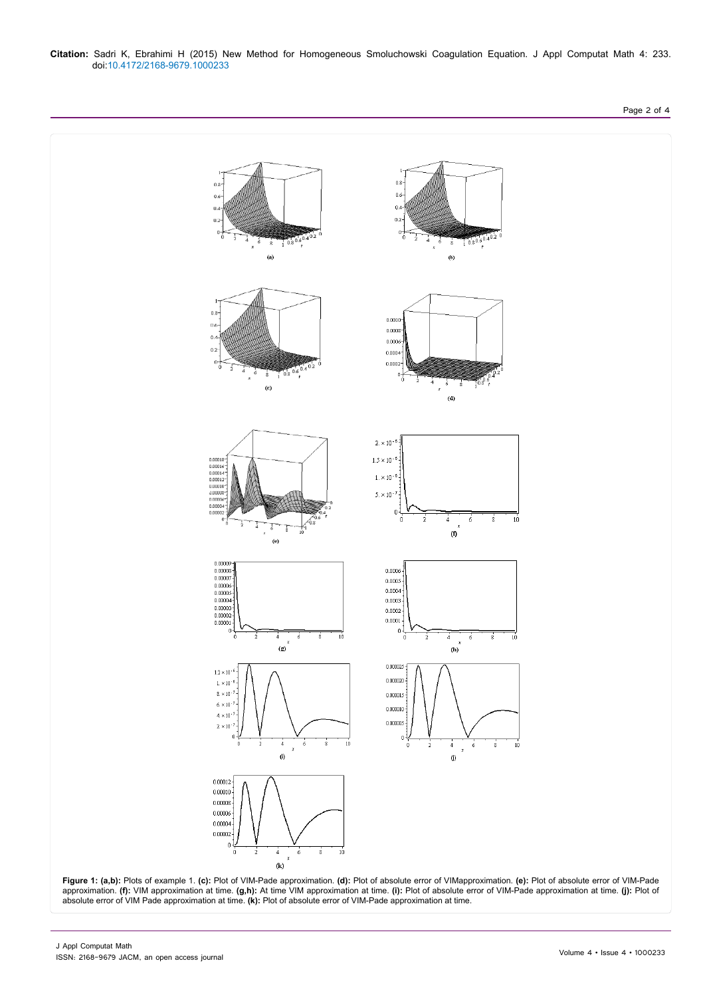

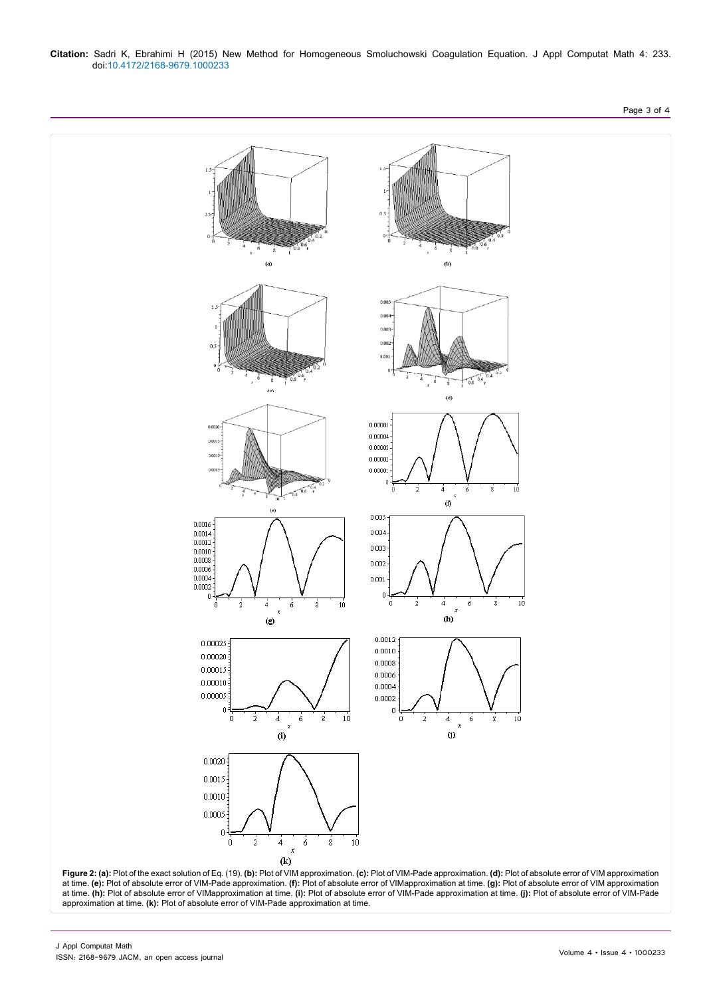#### **Citation:** Sadri K, Ebrahimi H (2015) New Method for Homogeneous Smoluchowski Coagulation Equation. J Appl Computat Math 4: 233. doi:10.4172/2168-9679.1000233



at time. **(e):** Plot of absolute error of VIM-Pade approximation. **(f):** Plot of absolute error of VIMapproximation at time. **(g):** Plot of absolute error of VIM approximation at time. **(h):** Plot of absolute error of VIMapproximation at time. **(i):** Plot of absolute error of VIM-Pade approximation at time. **(j):** Plot of absolute error of VIM-Pade approximation at time. **(k):** Plot of absolute error of VIM-Pade approximation at time.

Page 3 of 4